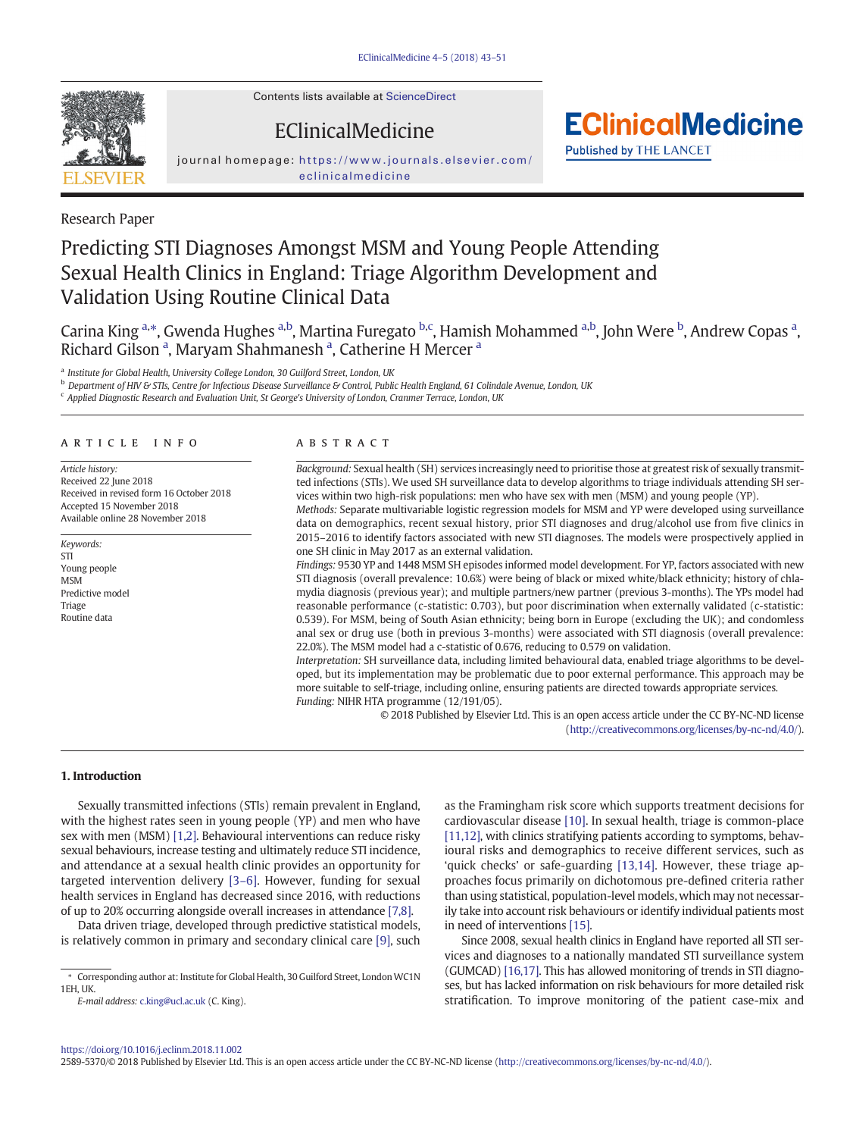Contents lists available at [ScienceDirect](http://www.sciencedirect.com/science/journal/25895370)

EClinicalMedicine

journal homepage: [https://www.journals.elsevier.com/](https://www.journals.elsevier.com/eclinicalmedicine) [eclinicalmedicine](https://www.journals.elsevier.com/eclinicalmedicine)

Research Paper

# Predicting STI Diagnoses Amongst MSM and Young People Attending Sexual Health Clinics in England: Triage Algorithm Development and Validation Using Routine Clinical Data

Carina King <sup>a,</sup>\*, Gwenda Hughes <sup>a,b</sup>, Martina Furegato <sup>b,c</sup>, Hamish Mohammed <sup>a,b</sup>, John Were <sup>b</sup>, Andrew Copas <sup>a</sup>, Richard Gilson<sup>a</sup>, Maryam Shahmanesh<sup>a</sup>, Catherine H Mercer<sup>a</sup>

a Institute for Global Health, University College London, 30 Guilford Street, London, UK

**b** Department of HIV & STIs, Centre for Infectious Disease Surveillance & Control, Public Health England, 61 Colindale Avenue, London, UK

<sup>c</sup> Applied Diagnostic Research and Evaluation Unit, St George's University of London, Cranmer Terrace, London, UK

# article info abstract

Article history: Received 22 June 2018 Received in revised form 16 October 2018 Accepted 15 November 2018 Available online 28 November 2018

Keywords: STI Young people MSM Predictive model Triage Routine data

Background: Sexual health (SH) services increasingly need to prioritise those at greatest risk of sexually transmitted infections (STIs). We used SH surveillance data to develop algorithms to triage individuals attending SH services within two high-risk populations: men who have sex with men (MSM) and young people (YP).

**EClinicalMedicine** 

**Published by THE LANCET** 

Methods: Separate multivariable logistic regression models for MSM and YP were developed using surveillance data on demographics, recent sexual history, prior STI diagnoses and drug/alcohol use from five clinics in 2015–2016 to identify factors associated with new STI diagnoses. The models were prospectively applied in one SH clinic in May 2017 as an external validation.

Findings: 9530 YP and 1448 MSM SH episodes informed model development. For YP, factors associated with new STI diagnosis (overall prevalence: 10.6%) were being of black or mixed white/black ethnicity; history of chlamydia diagnosis (previous year); and multiple partners/new partner (previous 3-months). The YPs model had reasonable performance (c-statistic: 0.703), but poor discrimination when externally validated (c-statistic: 0.539). For MSM, being of South Asian ethnicity; being born in Europe (excluding the UK); and condomless anal sex or drug use (both in previous 3-months) were associated with STI diagnosis (overall prevalence: 22.0%). The MSM model had a c-statistic of 0.676, reducing to 0.579 on validation.

Interpretation: SH surveillance data, including limited behavioural data, enabled triage algorithms to be developed, but its implementation may be problematic due to poor external performance. This approach may be more suitable to self-triage, including online, ensuring patients are directed towards appropriate services. Funding: NIHR HTA programme (12/191/05).

> © 2018 Published by Elsevier Ltd. This is an open access article under the CC BY-NC-ND license [\(http://creativecommons.org/licenses/by-nc-nd/4.0/\)](http://creativecommons.org/licenses/by-nc-nd/4.0/).

#### 1. Introduction

Sexually transmitted infections (STIs) remain prevalent in England, with the highest rates seen in young people (YP) and men who have sex with men (MSM) [\[1,2\]](#page-7-0). Behavioural interventions can reduce risky sexual behaviours, increase testing and ultimately reduce STI incidence, and attendance at a sexual health clinic provides an opportunity for targeted intervention delivery [3–[6\].](#page-7-0) However, funding for sexual health services in England has decreased since 2016, with reductions of up to 20% occurring alongside overall increases in attendance [\[7,8\]](#page-7-0).

Data driven triage, developed through predictive statistical models, is relatively common in primary and secondary clinical care [\[9\],](#page-7-0) such

E-mail address: <c.king@ucl.ac.uk> (C. King).

as the Framingham risk score which supports treatment decisions for cardiovascular disease [\[10\]](#page-7-0). In sexual health, triage is common-place [\[11,12\]](#page-7-0), with clinics stratifying patients according to symptoms, behavioural risks and demographics to receive different services, such as 'quick checks' or safe-guarding [\[13,14\]](#page-7-0). However, these triage approaches focus primarily on dichotomous pre-defined criteria rather than using statistical, population-level models, which may not necessarily take into account risk behaviours or identify individual patients most in need of interventions [\[15\].](#page-7-0)

Since 2008, sexual health clinics in England have reported all STI services and diagnoses to a nationally mandated STI surveillance system (GUMCAD) [\[16,17\]](#page-7-0). This has allowed monitoring of trends in STI diagnoses, but has lacked information on risk behaviours for more detailed risk stratification. To improve monitoring of the patient case-mix and

2589-5370/© 2018 Published by Elsevier Ltd. This is an open access article under the CC BY-NC-ND license [\(http://creativecommons.org/licenses/by-nc-nd/4.0/\)](http://creativecommons.org/licenses/by-nc-nd/4.0/).



<sup>⁎</sup> Corresponding author at: Institute for Global Health, 30 Guilford Street, London WC1N 1EH, UK.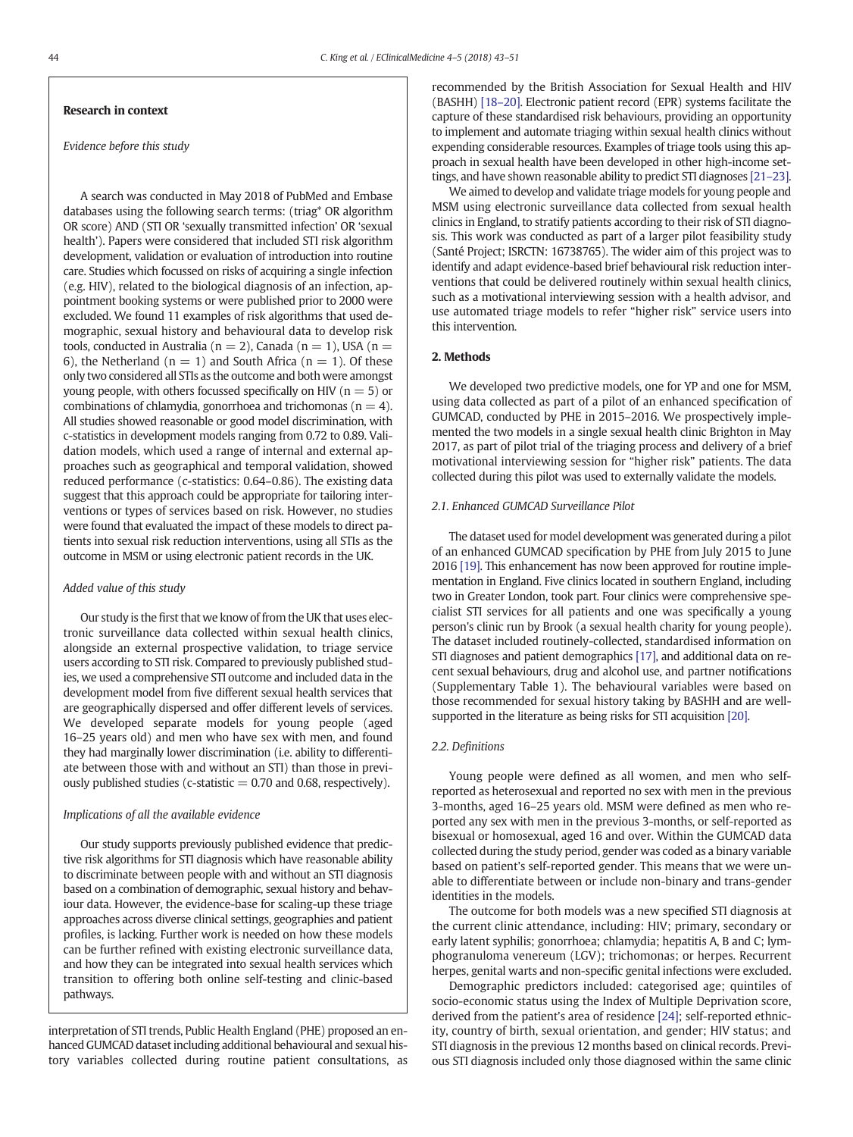# Research in context

#### Evidence before this study

A search was conducted in May 2018 of PubMed and Embase databases using the following search terms: (triag\* OR algorithm OR score) AND (STI OR 'sexually transmitted infection' OR 'sexual health'). Papers were considered that included STI risk algorithm development, validation or evaluation of introduction into routine care. Studies which focussed on risks of acquiring a single infection (e.g. HIV), related to the biological diagnosis of an infection, appointment booking systems or were published prior to 2000 were excluded. We found 11 examples of risk algorithms that used demographic, sexual history and behavioural data to develop risk tools, conducted in Australia ( $n = 2$ ), Canada ( $n = 1$ ), USA ( $n =$ 6), the Netherland ( $n = 1$ ) and South Africa ( $n = 1$ ). Of these only two considered all STIs as the outcome and both were amongst young people, with others focussed specifically on HIV ( $n = 5$ ) or combinations of chlamydia, gonorrhoea and trichomonas ( $n = 4$ ). All studies showed reasonable or good model discrimination, with c-statistics in development models ranging from 0.72 to 0.89. Validation models, which used a range of internal and external approaches such as geographical and temporal validation, showed reduced performance (c-statistics: 0.64–0.86). The existing data suggest that this approach could be appropriate for tailoring interventions or types of services based on risk. However, no studies were found that evaluated the impact of these models to direct patients into sexual risk reduction interventions, using all STIs as the outcome in MSM or using electronic patient records in the UK.

#### Added value of this study

Our study is the first that we know of from the UK that uses electronic surveillance data collected within sexual health clinics, alongside an external prospective validation, to triage service users according to STI risk. Compared to previously published studies, we used a comprehensive STI outcome and included data in the development model from five different sexual health services that are geographically dispersed and offer different levels of services. We developed separate models for young people (aged 16–25 years old) and men who have sex with men, and found they had marginally lower discrimination (i.e. ability to differentiate between those with and without an STI) than those in previously published studies (c-statistic  $= 0.70$  and 0.68, respectively).

#### Implications of all the available evidence

Our study supports previously published evidence that predictive risk algorithms for STI diagnosis which have reasonable ability to discriminate between people with and without an STI diagnosis based on a combination of demographic, sexual history and behaviour data. However, the evidence-base for scaling-up these triage approaches across diverse clinical settings, geographies and patient profiles, is lacking. Further work is needed on how these models can be further refined with existing electronic surveillance data, and how they can be integrated into sexual health services which transition to offering both online self-testing and clinic-based pathways.

interpretation of STI trends, Public Health England (PHE) proposed an enhanced GUMCAD dataset including additional behavioural and sexual history variables collected during routine patient consultations, as recommended by the British Association for Sexual Health and HIV (BASHH) [\[18](#page-7-0)–20]. Electronic patient record (EPR) systems facilitate the capture of these standardised risk behaviours, providing an opportunity to implement and automate triaging within sexual health clinics without expending considerable resources. Examples of triage tools using this approach in sexual health have been developed in other high-income settings, and have shown reasonable ability to predict STI diagnoses [\[21](#page-8-0)–23].

We aimed to develop and validate triage models for young people and MSM using electronic surveillance data collected from sexual health clinics in England, to stratify patients according to their risk of STI diagnosis. This work was conducted as part of a larger pilot feasibility study (Santé Project; ISRCTN: 16738765). The wider aim of this project was to identify and adapt evidence-based brief behavioural risk reduction interventions that could be delivered routinely within sexual health clinics, such as a motivational interviewing session with a health advisor, and use automated triage models to refer "higher risk" service users into this intervention.

# 2. Methods

We developed two predictive models, one for YP and one for MSM, using data collected as part of a pilot of an enhanced specification of GUMCAD, conducted by PHE in 2015–2016. We prospectively implemented the two models in a single sexual health clinic Brighton in May 2017, as part of pilot trial of the triaging process and delivery of a brief motivational interviewing session for "higher risk" patients. The data collected during this pilot was used to externally validate the models.

#### 2.1. Enhanced GUMCAD Surveillance Pilot

The dataset used for model development was generated during a pilot of an enhanced GUMCAD specification by PHE from July 2015 to June 2016 [\[19\]](#page-8-0). This enhancement has now been approved for routine implementation in England. Five clinics located in southern England, including two in Greater London, took part. Four clinics were comprehensive specialist STI services for all patients and one was specifically a young person's clinic run by Brook (a sexual health charity for young people). The dataset included routinely-collected, standardised information on STI diagnoses and patient demographics [\[17\]](#page-7-0), and additional data on recent sexual behaviours, drug and alcohol use, and partner notifications (Supplementary Table 1). The behavioural variables were based on those recommended for sexual history taking by BASHH and are wellsupported in the literature as being risks for STI acquisition [\[20\]](#page-8-0).

# 2.2. Definitions

Young people were defined as all women, and men who selfreported as heterosexual and reported no sex with men in the previous 3-months, aged 16–25 years old. MSM were defined as men who reported any sex with men in the previous 3-months, or self-reported as bisexual or homosexual, aged 16 and over. Within the GUMCAD data collected during the study period, gender was coded as a binary variable based on patient's self-reported gender. This means that we were unable to differentiate between or include non-binary and trans-gender identities in the models.

The outcome for both models was a new specified STI diagnosis at the current clinic attendance, including: HIV; primary, secondary or early latent syphilis; gonorrhoea; chlamydia; hepatitis A, B and C; lymphogranuloma venereum (LGV); trichomonas; or herpes. Recurrent herpes, genital warts and non-specific genital infections were excluded.

Demographic predictors included: categorised age; quintiles of socio-economic status using the Index of Multiple Deprivation score, derived from the patient's area of residence [\[24\];](#page-8-0) self-reported ethnicity, country of birth, sexual orientation, and gender; HIV status; and STI diagnosis in the previous 12 months based on clinical records. Previous STI diagnosis included only those diagnosed within the same clinic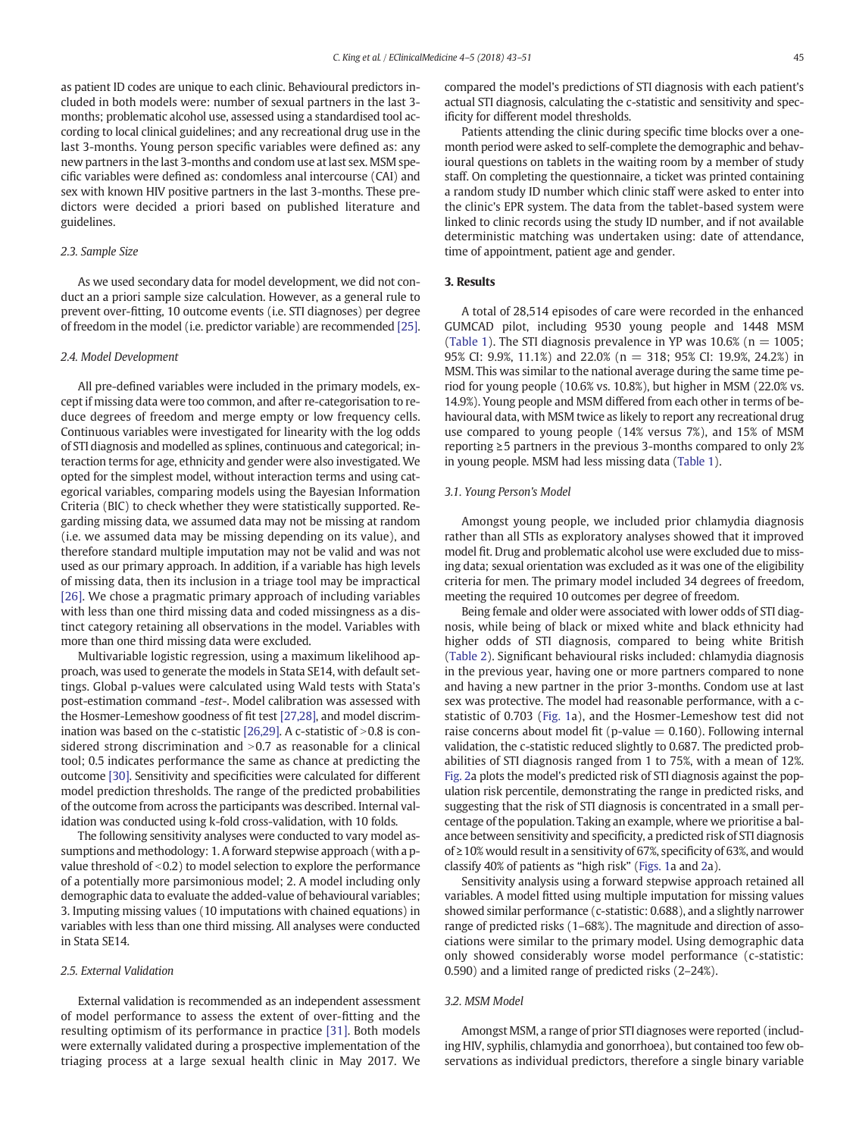as patient ID codes are unique to each clinic. Behavioural predictors included in both models were: number of sexual partners in the last 3 months; problematic alcohol use, assessed using a standardised tool according to local clinical guidelines; and any recreational drug use in the last 3-months. Young person specific variables were defined as: any new partners in the last 3-months and condom use at last sex. MSM specific variables were defined as: condomless anal intercourse (CAI) and sex with known HIV positive partners in the last 3-months. These predictors were decided a priori based on published literature and guidelines.

#### 2.3. Sample Size

As we used secondary data for model development, we did not conduct an a priori sample size calculation. However, as a general rule to prevent over-fitting, 10 outcome events (i.e. STI diagnoses) per degree of freedom in the model (i.e. predictor variable) are recommended [\[25\].](#page-8-0)

### 2.4. Model Development

All pre-defined variables were included in the primary models, except if missing data were too common, and after re-categorisation to reduce degrees of freedom and merge empty or low frequency cells. Continuous variables were investigated for linearity with the log odds of STI diagnosis and modelled as splines, continuous and categorical; interaction terms for age, ethnicity and gender were also investigated. We opted for the simplest model, without interaction terms and using categorical variables, comparing models using the Bayesian Information Criteria (BIC) to check whether they were statistically supported. Regarding missing data, we assumed data may not be missing at random (i.e. we assumed data may be missing depending on its value), and therefore standard multiple imputation may not be valid and was not used as our primary approach. In addition, if a variable has high levels of missing data, then its inclusion in a triage tool may be impractical [\[26\]](#page-8-0). We chose a pragmatic primary approach of including variables with less than one third missing data and coded missingness as a distinct category retaining all observations in the model. Variables with more than one third missing data were excluded.

Multivariable logistic regression, using a maximum likelihood approach, was used to generate the models in Stata SE14, with default settings. Global p-values were calculated using Wald tests with Stata's post-estimation command -test-. Model calibration was assessed with the Hosmer-Lemeshow goodness of fit test [\[27,28\],](#page-8-0) and model discrimination was based on the c-statistic  $[26,29]$ . A c-statistic of  $>0.8$  is considered strong discrimination and  $>0.7$  as reasonable for a clinical tool; 0.5 indicates performance the same as chance at predicting the outcome [\[30\]](#page-8-0). Sensitivity and specificities were calculated for different model prediction thresholds. The range of the predicted probabilities of the outcome from across the participants was described. Internal validation was conducted using k-fold cross-validation, with 10 folds.

The following sensitivity analyses were conducted to vary model assumptions and methodology: 1. A forward stepwise approach (with a pvalue threshold of  $\leq$ 0.2) to model selection to explore the performance of a potentially more parsimonious model; 2. A model including only demographic data to evaluate the added-value of behavioural variables; 3. Imputing missing values (10 imputations with chained equations) in variables with less than one third missing. All analyses were conducted in Stata SE14.

#### 2.5. External Validation

External validation is recommended as an independent assessment of model performance to assess the extent of over-fitting and the resulting optimism of its performance in practice [\[31\].](#page-8-0) Both models were externally validated during a prospective implementation of the triaging process at a large sexual health clinic in May 2017. We

compared the model's predictions of STI diagnosis with each patient's actual STI diagnosis, calculating the c-statistic and sensitivity and specificity for different model thresholds.

Patients attending the clinic during specific time blocks over a onemonth period were asked to self-complete the demographic and behavioural questions on tablets in the waiting room by a member of study staff. On completing the questionnaire, a ticket was printed containing a random study ID number which clinic staff were asked to enter into the clinic's EPR system. The data from the tablet-based system were linked to clinic records using the study ID number, and if not available deterministic matching was undertaken using: date of attendance, time of appointment, patient age and gender.

# 3. Results

A total of 28,514 episodes of care were recorded in the enhanced GUMCAD pilot, including 9530 young people and 1448 MSM [\(Table 1\)](#page-3-0). The STI diagnosis prevalence in YP was  $10.6\%$  (n = 1005; 95% CI: 9.9%, 11.1%) and 22.0% (n = 318; 95% CI: 19.9%, 24.2%) in MSM. This was similar to the national average during the same time period for young people (10.6% vs. 10.8%), but higher in MSM (22.0% vs. 14.9%). Young people and MSM differed from each other in terms of behavioural data, with MSM twice as likely to report any recreational drug use compared to young people (14% versus 7%), and 15% of MSM reporting ≥5 partners in the previous 3-months compared to only 2% in young people. MSM had less missing data [\(Table 1\)](#page-3-0).

#### 3.1. Young Person's Model

Amongst young people, we included prior chlamydia diagnosis rather than all STIs as exploratory analyses showed that it improved model fit. Drug and problematic alcohol use were excluded due to missing data; sexual orientation was excluded as it was one of the eligibility criteria for men. The primary model included 34 degrees of freedom, meeting the required 10 outcomes per degree of freedom.

Being female and older were associated with lower odds of STI diagnosis, while being of black or mixed white and black ethnicity had higher odds of STI diagnosis, compared to being white British [\(Table 2](#page-4-0)). Significant behavioural risks included: chlamydia diagnosis in the previous year, having one or more partners compared to none and having a new partner in the prior 3-months. Condom use at last sex was protective. The model had reasonable performance, with a cstatistic of 0.703 ([Fig. 1](#page-5-0)a), and the Hosmer-Lemeshow test did not raise concerns about model fit (p-value  $= 0.160$ ). Following internal validation, the c-statistic reduced slightly to 0.687. The predicted probabilities of STI diagnosis ranged from 1 to 75%, with a mean of 12%. [Fig. 2a](#page-6-0) plots the model's predicted risk of STI diagnosis against the population risk percentile, demonstrating the range in predicted risks, and suggesting that the risk of STI diagnosis is concentrated in a small percentage of the population. Taking an example, where we prioritise a balance between sensitivity and specificity, a predicted risk of STI diagnosis of ≥10% would result in a sensitivity of 67%, specificity of 63%, and would classify 40% of patients as "high risk" [\(Figs. 1](#page-5-0)a and [2](#page-6-0)a).

Sensitivity analysis using a forward stepwise approach retained all variables. A model fitted using multiple imputation for missing values showed similar performance (c-statistic: 0.688), and a slightly narrower range of predicted risks (1–68%). The magnitude and direction of associations were similar to the primary model. Using demographic data only showed considerably worse model performance (c-statistic: 0.590) and a limited range of predicted risks (2–24%).

### 3.2. MSM Model

Amongst MSM, a range of prior STI diagnoses were reported (including HIV, syphilis, chlamydia and gonorrhoea), but contained too few observations as individual predictors, therefore a single binary variable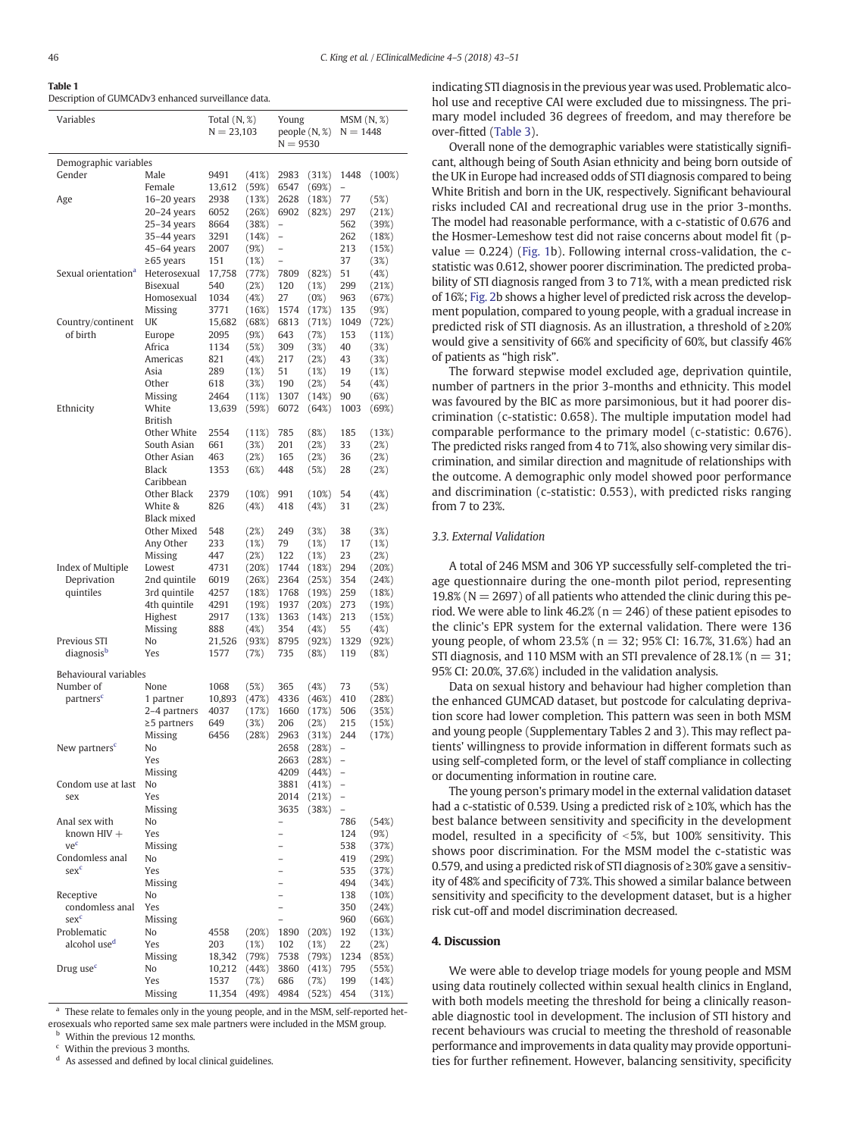<span id="page-3-0"></span>Table 1

| Variables                                                  |                | Total $(N, \%)$ |                                            | Young          |                | $MSM(N, \%)$      |  |
|------------------------------------------------------------|----------------|-----------------|--------------------------------------------|----------------|----------------|-------------------|--|
|                                                            |                | $N = 23,103$    |                                            | people(N, %)   |                | $N = 1448$        |  |
|                                                            |                |                 | $N = 9530$                                 |                |                |                   |  |
| Demographic variables                                      |                |                 |                                            |                |                |                   |  |
| Gender<br>Male                                             | 9491           | (41%)           | 2983                                       | (31%)          | 1448           | (100%)            |  |
| Female                                                     | 13,612         | (59%)           | 6547                                       | (69%)          | $\overline{a}$ |                   |  |
| $16-20$ years<br>Age                                       | 2938           | (13%)           | 2628                                       | (18%)          | 77             | (5%)              |  |
| $20 - 24$ years                                            | 6052           | (26%)           | 6902                                       | (82%)          | 297            | (21%)             |  |
| $25-34$ years                                              | 8664           | (38%)           | $\overline{\phantom{0}}$                   |                | 562            | (39%)             |  |
| 35–44 years                                                | 3291<br>2007   | (14%)           | $\overline{\phantom{0}}$<br>$\overline{a}$ |                | 262<br>213     | (18%)             |  |
| $45-64$ years<br>$\geq$ 65 years                           | 151            | (9%)<br>(1%)    | $\overline{\phantom{0}}$                   |                | 37             | (15%)<br>(3%)     |  |
| Sexual orientation <sup>a</sup><br>Heterosexual            | 17,758         | (77%)           | 7809                                       | (82%)          | 51             | (4%)              |  |
| Bisexual                                                   | 540            | (2%)            | 120                                        | (1%)           | 299            | (21%)             |  |
| Homosexual                                                 | 1034           | (4%)            | 27                                         | (0%)           | 963            | (67%)             |  |
| Missing                                                    | 3771           | (16%)           | 1574                                       | (17%)          | 135            | (9%)              |  |
| Country/continent<br>UK                                    | 15,682         | (68%)           | 6813                                       | (71%)          | 1049           | (72%)             |  |
| of birth<br>Europe                                         | 2095           | (9%)            | 643                                        | (7%)           | 153            | (11%)             |  |
| Africa                                                     | 1134           | (5%)            | 309                                        | (3%)           | 40             | (3%)              |  |
| Americas                                                   | 821            | (4%)            | 217                                        | (2%)           | 43             | (3%)              |  |
| Asia                                                       | 289            | (1%)            | 51                                         | (1%)           | 19             | (1%)              |  |
| Other                                                      | 618            | (3%)            | 190                                        | (2%)           | 54             | (4%)              |  |
| <b>Missing</b>                                             | 2464<br>13,639 | (11%)           | 1307                                       | (14%)          | 90             | (6%)              |  |
| Ethnicity<br>White<br><b>British</b>                       |                | (59%)           | 6072                                       | (64%)          | 1003           | (69%)             |  |
| Other White                                                | 2554           | (11%)           | 785                                        | (8%)           | 185            | (13%)             |  |
| South Asian                                                | 661            | (3%)            | 201                                        | (2%)           | 33             | (2%)              |  |
| Other Asian                                                | 463            | (2%)            | 165                                        | (2%)           | 36             | (2%)              |  |
| Black                                                      | 1353           | (6%)            | 448                                        | (5%)           | 28             | (2%)              |  |
| Caribbean                                                  |                |                 |                                            |                |                |                   |  |
| Other Black                                                | 2379           | $(10\%)$        | 991                                        | $(10\%)$       | 54             | (4%)              |  |
| White &                                                    | 826            | (4%)            | 418                                        | (4%)           | 31             | (2%)              |  |
| Black mixed                                                |                |                 |                                            |                |                |                   |  |
| Other Mixed                                                | 548            | (2%)            | 249                                        | (3%)           | 38             | (3%)              |  |
| Any Other                                                  | 233            | (1%)            | 79                                         | (1%)           | 17             | (1%)              |  |
| Missing                                                    | 447            | (2%)            | 122                                        | (1%)           | 23             | (2%)              |  |
| Index of Multiple<br>Lowest<br>Deprivation<br>2nd quintile | 4731<br>6019   | (20%)           | 1744<br>2364                               | (18%)<br>(25%) | 294<br>354     | (20%)             |  |
| quintiles<br>3rd quintile                                  | 4257           | (26%)<br>(18%)  | 1768                                       | (19%)          | 259            | (24%)<br>(18%)    |  |
| 4th quintile                                               | 4291           | (19%)           | 1937                                       | (20%)          | 273            | (19%)             |  |
| Highest                                                    | 2917           | (13%)           | 1363                                       | (14%)          | 213            | (15%)             |  |
| Missing                                                    | 888            | (4%)            | 354                                        | (4%)           | 55             | (4%)              |  |
| Previous STI<br>No.                                        | 21,526         | (93%)           | 8795                                       | (92%)          | 1329           | (92%)             |  |
| diagnosis <sup>b</sup><br>Yes                              | 1577           | (7%)            | 735                                        | (8%)           | 119            | (8%)              |  |
|                                                            |                |                 |                                            |                |                |                   |  |
| Behavioural variables                                      |                |                 |                                            |                |                |                   |  |
| Number of<br>None                                          | 1068           | (5%)            | 365                                        | (4%)           | 73             | (5%)              |  |
| partners <sup>c</sup><br>1 partner<br>2–4 partners         | 10,893<br>4037 | (47%)<br>(17%)  | 4336<br>1660                               | (46%)<br>(17%) | 410<br>506     | (28%)<br>(35%)    |  |
| $\geq$ 5 partners                                          | 649            | (3%)            | 206                                        | (2%)           | 215            | (15%)             |  |
| Missing                                                    | 6456           | (28%)           | 2963                                       | (31%)          | 244            | (17%)             |  |
| New partners <sup>c</sup><br>No                            |                |                 | 2658                                       | (28%)          |                |                   |  |
| Yes                                                        |                |                 | 2663                                       | (28%)          |                |                   |  |
| <b>Missing</b>                                             |                |                 | 4209                                       | (44%)          |                |                   |  |
| Condom use at last<br>No                                   |                |                 | 3881                                       | (41%)          | -              |                   |  |
| Yes<br>sex                                                 |                |                 | 2014                                       | (21%)          | $\overline{a}$ |                   |  |
| Missing                                                    |                |                 | 3635                                       | (38%)          | $\overline{a}$ |                   |  |
| Anal sex with<br>No                                        |                |                 | $\overline{\phantom{0}}$                   |                | 786            | (54%)             |  |
| known $HIV +$<br>Yes                                       |                |                 | $\overline{\phantom{0}}$                   |                | 124            | (9%)              |  |
| vec<br>Missing                                             |                |                 | $\qquad \qquad -$                          |                | 538            | (37%)             |  |
| Condomless anal<br>No                                      |                |                 |                                            |                | 419            | (29%)             |  |
| sex <sup>c</sup><br>Yes                                    |                |                 | $\overline{a}$                             |                | 535            | (37%)<br>(34%)    |  |
| Missing<br>Receptive<br>No                                 |                |                 | $\overline{a}$                             |                | 494<br>138     |                   |  |
| condomless anal<br>Yes                                     |                |                 | $\overline{a}$                             |                | 350            | $(10\%)$<br>(24%) |  |
| sex <sup>c</sup><br>Missing                                |                |                 | $\overline{a}$                             |                | 960            | (66%)             |  |
| Problematic<br>No                                          | 4558           | (20%)           | 1890                                       | (20%)          | 192            | (13%)             |  |
| alcohol use <sup>d</sup><br>Yes                            | 203            | (1%)            | 102                                        | (1%)           | 22             | (2%)              |  |
| Missing                                                    | 18,342         | (79%)           | 7538                                       | (79%)          | 1234           | (85%)             |  |
| Drug use <sup>c</sup><br>No                                | 10,212         | (44%)           | 3860                                       | (41%)          | 795            | (55%)             |  |
| Yes                                                        | 1537           | (7%)            | 686                                        | (7%)           | 199            | (14%)             |  |
| Missing                                                    | 11,354         | (49%)           | 4984                                       | (52%)          | 454            | (31%)             |  |

Description of GUMCADv3 enhanced surveillance data.

<sup>a</sup> These relate to females only in the young people, and in the MSM, self-reported heterosexuals who reported same sex male partners were included in the MSM group.

<sup>b</sup> Within the previous 12 months.

<sup>c</sup> Within the previous 3 months.

<sup>d</sup> As assessed and defined by local clinical guidelines.

indicating STI diagnosis in the previous year was used. Problematic alcohol use and receptive CAI were excluded due to missingness. The primary model included 36 degrees of freedom, and may therefore be over-fitted [\(Table 3\)](#page-7-0).

Overall none of the demographic variables were statistically significant, although being of South Asian ethnicity and being born outside of the UK in Europe had increased odds of STI diagnosis compared to being White British and born in the UK, respectively. Significant behavioural risks included CAI and recreational drug use in the prior 3-months. The model had reasonable performance, with a c-statistic of 0.676 and the Hosmer-Lemeshow test did not raise concerns about model fit (pvalue  $= 0.224$ ) ([Fig. 1b](#page-5-0)). Following internal cross-validation, the cstatistic was 0.612, shower poorer discrimination. The predicted probability of STI diagnosis ranged from 3 to 71%, with a mean predicted risk of 16%; [Fig. 2b](#page-6-0) shows a higher level of predicted risk across the development population, compared to young people, with a gradual increase in predicted risk of STI diagnosis. As an illustration, a threshold of ≥20% would give a sensitivity of 66% and specificity of 60%, but classify 46% of patients as "high risk".

The forward stepwise model excluded age, deprivation quintile, number of partners in the prior 3-months and ethnicity. This model was favoured by the BIC as more parsimonious, but it had poorer discrimination (c-statistic: 0.658). The multiple imputation model had comparable performance to the primary model (c-statistic: 0.676). The predicted risks ranged from 4 to 71%, also showing very similar discrimination, and similar direction and magnitude of relationships with the outcome. A demographic only model showed poor performance and discrimination (c-statistic: 0.553), with predicted risks ranging from 7 to 23%.

#### 3.3. External Validation

A total of 246 MSM and 306 YP successfully self-completed the triage questionnaire during the one-month pilot period, representing 19.8% ( $N = 2697$ ) of all patients who attended the clinic during this period. We were able to link 46.2% ( $n = 246$ ) of these patient episodes to the clinic's EPR system for the external validation. There were 136 young people, of whom 23.5% ( $n = 32$ ; 95% CI; 16.7%, 31.6%) had an STI diagnosis, and 110 MSM with an STI prevalence of 28.1% ( $n = 31$ ; 95% CI: 20.0%, 37.6%) included in the validation analysis.

Data on sexual history and behaviour had higher completion than the enhanced GUMCAD dataset, but postcode for calculating deprivation score had lower completion. This pattern was seen in both MSM and young people (Supplementary Tables 2 and 3). This may reflect patients' willingness to provide information in different formats such as using self-completed form, or the level of staff compliance in collecting or documenting information in routine care.

The young person's primary model in the external validation dataset had a c-statistic of 0.539. Using a predicted risk of ≥10%, which has the best balance between sensitivity and specificity in the development model, resulted in a specificity of  $<$  5%, but 100% sensitivity. This shows poor discrimination. For the MSM model the c-statistic was 0.579, and using a predicted risk of STI diagnosis of ≥30% gave a sensitivity of 48% and specificity of 73%. This showed a similar balance between sensitivity and specificity to the development dataset, but is a higher risk cut-off and model discrimination decreased.

#### 4. Discussion

We were able to develop triage models for young people and MSM using data routinely collected within sexual health clinics in England, with both models meeting the threshold for being a clinically reasonable diagnostic tool in development. The inclusion of STI history and recent behaviours was crucial to meeting the threshold of reasonable performance and improvements in data quality may provide opportunities for further refinement. However, balancing sensitivity, specificity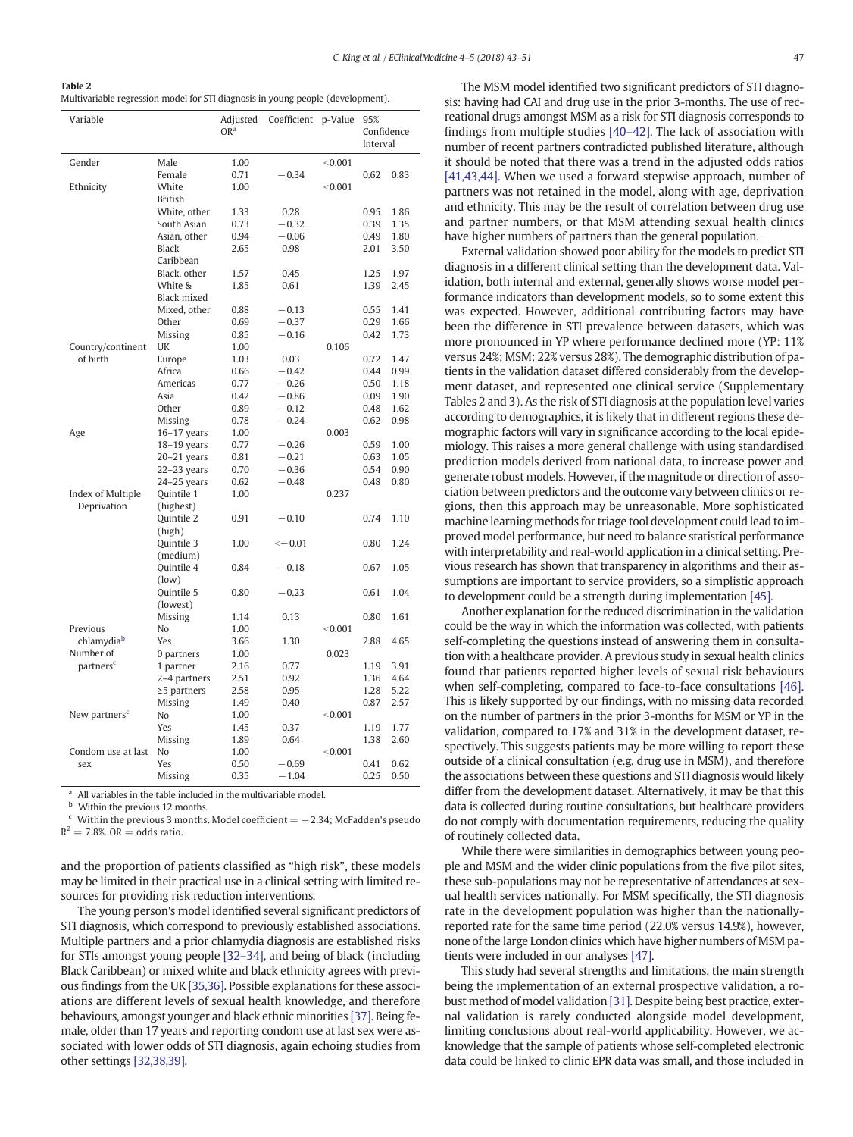<span id="page-4-0"></span>

| Table 2                                                                         |
|---------------------------------------------------------------------------------|
| Multivariable regression model for STI diagnosis in young people (development). |

| Variable                         |                         | Adjusted<br>OR <sup>a</sup> | Coefficient  | p-Value | 95%<br>Confidence<br>Interval |      |
|----------------------------------|-------------------------|-----------------------------|--------------|---------|-------------------------------|------|
|                                  |                         |                             |              |         |                               |      |
| Gender                           | Male                    | 1.00                        |              | < 0.001 |                               |      |
|                                  | Female                  | 0.71                        | $-0.34$      |         | 0.62                          | 0.83 |
| Ethnicity                        | White                   | 1.00                        |              | < 0.001 |                               |      |
|                                  | <b>British</b>          |                             |              |         |                               |      |
|                                  | White, other            | 1.33                        | 0.28         |         | 0.95                          | 1.86 |
|                                  | South Asian             | 0.73                        | $-0.32$      |         | 0.39                          | 1.35 |
|                                  | Asian, other            | 0.94                        | $-0.06$      |         | 0.49                          | 1.80 |
|                                  | <b>Black</b>            | 2.65                        | 0.98         |         | 2.01                          | 3.50 |
|                                  | Caribbean               |                             |              |         |                               |      |
|                                  | Black, other            | 1.57                        | 0.45         |         | 1.25                          | 1.97 |
|                                  | White &                 | 1.85                        | 0.61         |         | 1.39                          | 2.45 |
|                                  | <b>Black mixed</b>      |                             |              |         |                               |      |
|                                  | Mixed, other            | 0.88                        | $-0.13$      |         | 0.55                          | 1.41 |
|                                  | Other                   | 0.69                        | $-0.37$      |         | 0.29                          | 1.66 |
|                                  | Missing                 | 0.85                        | $-0.16$      |         | 0.42                          | 1.73 |
| Country/continent                | UK                      | 1.00                        |              | 0.106   |                               |      |
| of birth                         | Europe                  | 1.03                        | 0.03         |         | 0.72                          | 1.47 |
|                                  | Africa                  | 0.66                        | $-0.42$      |         | 0.44                          | 0.99 |
|                                  | Americas                | 0.77                        | $-0.26$      |         | 0.50                          | 1.18 |
|                                  | Asia                    | 0.42                        | $-0.86$      |         | 0.09                          | 1.90 |
|                                  | Other                   | 0.89                        | $-0.12$      |         | 0.48                          | 1.62 |
|                                  | Missing                 | 0.78                        | $-0.24$      |         | 0.62                          | 0.98 |
| Age                              | $16-17$ years           | 1.00                        |              | 0.003   |                               |      |
|                                  | $18-19$ years           | 0.77                        | $-0.26$      |         | 0.59                          | 1.00 |
|                                  | $20-21$ years           | 0.81                        | $-0.21$      |         | 0.63                          | 1.05 |
|                                  | $22-23$ years           | 0.70                        | $-0.36$      |         | 0.54                          | 0.90 |
|                                  | $24-25$ years           | 0.62                        | $-0.48$      |         | 0.48                          | 0.80 |
| Index of Multiple<br>Deprivation | Quintile 1<br>(highest) | 1.00                        |              | 0.237   |                               |      |
|                                  | Quintile 2<br>(high)    | 0.91                        | $-0.10$      |         | 0.74                          | 1.10 |
|                                  | Quintile 3<br>(medium)  | 1.00                        | $\sim -0.01$ |         | 0.80                          | 1.24 |
|                                  | Quintile 4<br>(low)     | 0.84                        | $-0.18$      |         | 0.67                          | 1.05 |
|                                  | Quintile 5<br>(lowest)  | 0.80                        | $-0.23$      |         | 0.61                          | 1.04 |
|                                  | Missing                 | 1.14                        | 0.13         |         | 0.80                          | 1.61 |
| Previous                         | No                      | 1.00                        |              | < 0.001 |                               |      |
| chlamydia <sup>b</sup>           | Yes                     | 3.66                        | 1.30         |         | 2.88                          | 4.65 |
| Number of                        | 0 partners              | 1.00                        |              | 0.023   |                               |      |
| partners <sup>c</sup>            | 1 partner               | 2.16                        | 0.77         |         | 1.19                          | 3.91 |
|                                  | 2-4 partners            | 2.51                        | 0.92         |         | 1.36                          | 4.64 |
|                                  | $\geq$ 5 partners       | 2.58                        | 0.95         |         | 1.28                          | 5.22 |
|                                  | Missing                 | 1.49                        | 0.40         |         | 0.87                          | 2.57 |
| New partners <sup>c</sup>        | No                      | 1.00                        |              | < 0.001 |                               |      |
|                                  | Yes                     | 1.45                        | 0.37         |         | 1.19                          | 1.77 |
|                                  | Missing                 | 1.89                        | 0.64         |         | 1.38                          | 2.60 |
| Condom use at last               | No                      | 1.00                        |              | < 0.001 |                               |      |
| sex                              | Yes                     | 0.50                        | $-0.69$      |         | 0.41                          | 0.62 |
|                                  | Missing                 | 0.35                        | $-1.04$      |         | 0.25                          | 0.50 |

<sup>a</sup> All variables in the table included in the multivariable model.<br> $\frac{b}{c}$  Mithin the provisue 12 months

Within the previous 12 months.

Within the previous 3 months. Model coefficient  $= -2.34$ ; McFadden's pseudo  $R^2 = 7.8\%$ . OR = odds ratio.

and the proportion of patients classified as "high risk", these models may be limited in their practical use in a clinical setting with limited resources for providing risk reduction interventions.

The young person's model identified several significant predictors of STI diagnosis, which correspond to previously established associations. Multiple partners and a prior chlamydia diagnosis are established risks for STIs amongst young people [\[32](#page-8-0)–34], and being of black (including Black Caribbean) or mixed white and black ethnicity agrees with previous findings from the UK [\[35,36\]](#page-8-0). Possible explanations for these associations are different levels of sexual health knowledge, and therefore behaviours, amongst younger and black ethnic minorities [\[37\]](#page-8-0). Being female, older than 17 years and reporting condom use at last sex were associated with lower odds of STI diagnosis, again echoing studies from other settings [\[32,38,39\].](#page-8-0)

The MSM model identified two significant predictors of STI diagnosis: having had CAI and drug use in the prior 3-months. The use of recreational drugs amongst MSM as a risk for STI diagnosis corresponds to findings from multiple studies [\[40](#page-8-0)–42]. The lack of association with number of recent partners contradicted published literature, although it should be noted that there was a trend in the adjusted odds ratios [\[41,43,44\].](#page-8-0) When we used a forward stepwise approach, number of partners was not retained in the model, along with age, deprivation and ethnicity. This may be the result of correlation between drug use and partner numbers, or that MSM attending sexual health clinics have higher numbers of partners than the general population.

External validation showed poor ability for the models to predict STI diagnosis in a different clinical setting than the development data. Validation, both internal and external, generally shows worse model performance indicators than development models, so to some extent this was expected. However, additional contributing factors may have been the difference in STI prevalence between datasets, which was more pronounced in YP where performance declined more (YP: 11% versus 24%; MSM: 22% versus 28%). The demographic distribution of patients in the validation dataset differed considerably from the development dataset, and represented one clinical service (Supplementary Tables 2 and 3). As the risk of STI diagnosis at the population level varies according to demographics, it is likely that in different regions these demographic factors will vary in significance according to the local epidemiology. This raises a more general challenge with using standardised prediction models derived from national data, to increase power and generate robust models. However, if the magnitude or direction of association between predictors and the outcome vary between clinics or regions, then this approach may be unreasonable. More sophisticated machine learning methods for triage tool development could lead to improved model performance, but need to balance statistical performance with interpretability and real-world application in a clinical setting. Previous research has shown that transparency in algorithms and their assumptions are important to service providers, so a simplistic approach to development could be a strength during implementation [\[45\]](#page-8-0).

Another explanation for the reduced discrimination in the validation could be the way in which the information was collected, with patients self-completing the questions instead of answering them in consultation with a healthcare provider. A previous study in sexual health clinics found that patients reported higher levels of sexual risk behaviours when self-completing, compared to face-to-face consultations [\[46\].](#page-8-0) This is likely supported by our findings, with no missing data recorded on the number of partners in the prior 3-months for MSM or YP in the validation, compared to 17% and 31% in the development dataset, respectively. This suggests patients may be more willing to report these outside of a clinical consultation (e.g. drug use in MSM), and therefore the associations between these questions and STI diagnosis would likely differ from the development dataset. Alternatively, it may be that this data is collected during routine consultations, but healthcare providers do not comply with documentation requirements, reducing the quality of routinely collected data.

While there were similarities in demographics between young people and MSM and the wider clinic populations from the five pilot sites, these sub-populations may not be representative of attendances at sexual health services nationally. For MSM specifically, the STI diagnosis rate in the development population was higher than the nationallyreported rate for the same time period (22.0% versus 14.9%), however, none of the large London clinics which have higher numbers of MSM patients were included in our analyses [\[47\]](#page-8-0).

This study had several strengths and limitations, the main strength being the implementation of an external prospective validation, a robust method of model validation [\[31\].](#page-8-0) Despite being best practice, external validation is rarely conducted alongside model development, limiting conclusions about real-world applicability. However, we acknowledge that the sample of patients whose self-completed electronic data could be linked to clinic EPR data was small, and those included in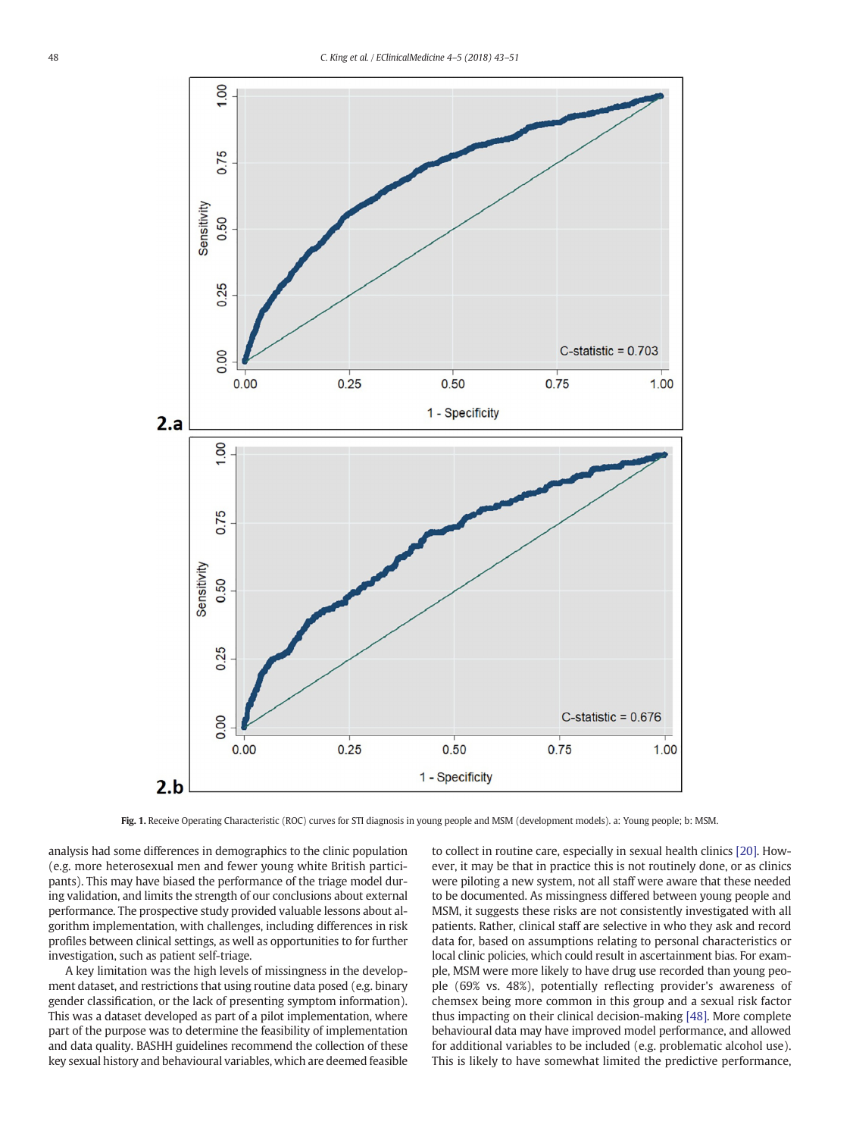<span id="page-5-0"></span>

Fig. 1. Receive Operating Characteristic (ROC) curves for STI diagnosis in young people and MSM (development models). a: Young people; b: MSM.

analysis had some differences in demographics to the clinic population (e.g. more heterosexual men and fewer young white British participants). This may have biased the performance of the triage model during validation, and limits the strength of our conclusions about external performance. The prospective study provided valuable lessons about algorithm implementation, with challenges, including differences in risk profiles between clinical settings, as well as opportunities to for further investigation, such as patient self-triage.

A key limitation was the high levels of missingness in the development dataset, and restrictions that using routine data posed (e.g. binary gender classification, or the lack of presenting symptom information). This was a dataset developed as part of a pilot implementation, where part of the purpose was to determine the feasibility of implementation and data quality. BASHH guidelines recommend the collection of these key sexual history and behavioural variables, which are deemed feasible to collect in routine care, especially in sexual health clinics [\[20\].](#page-8-0) However, it may be that in practice this is not routinely done, or as clinics were piloting a new system, not all staff were aware that these needed to be documented. As missingness differed between young people and MSM, it suggests these risks are not consistently investigated with all patients. Rather, clinical staff are selective in who they ask and record data for, based on assumptions relating to personal characteristics or local clinic policies, which could result in ascertainment bias. For example, MSM were more likely to have drug use recorded than young people (69% vs. 48%), potentially reflecting provider's awareness of chemsex being more common in this group and a sexual risk factor thus impacting on their clinical decision-making [\[48\].](#page-8-0) More complete behavioural data may have improved model performance, and allowed for additional variables to be included (e.g. problematic alcohol use). This is likely to have somewhat limited the predictive performance,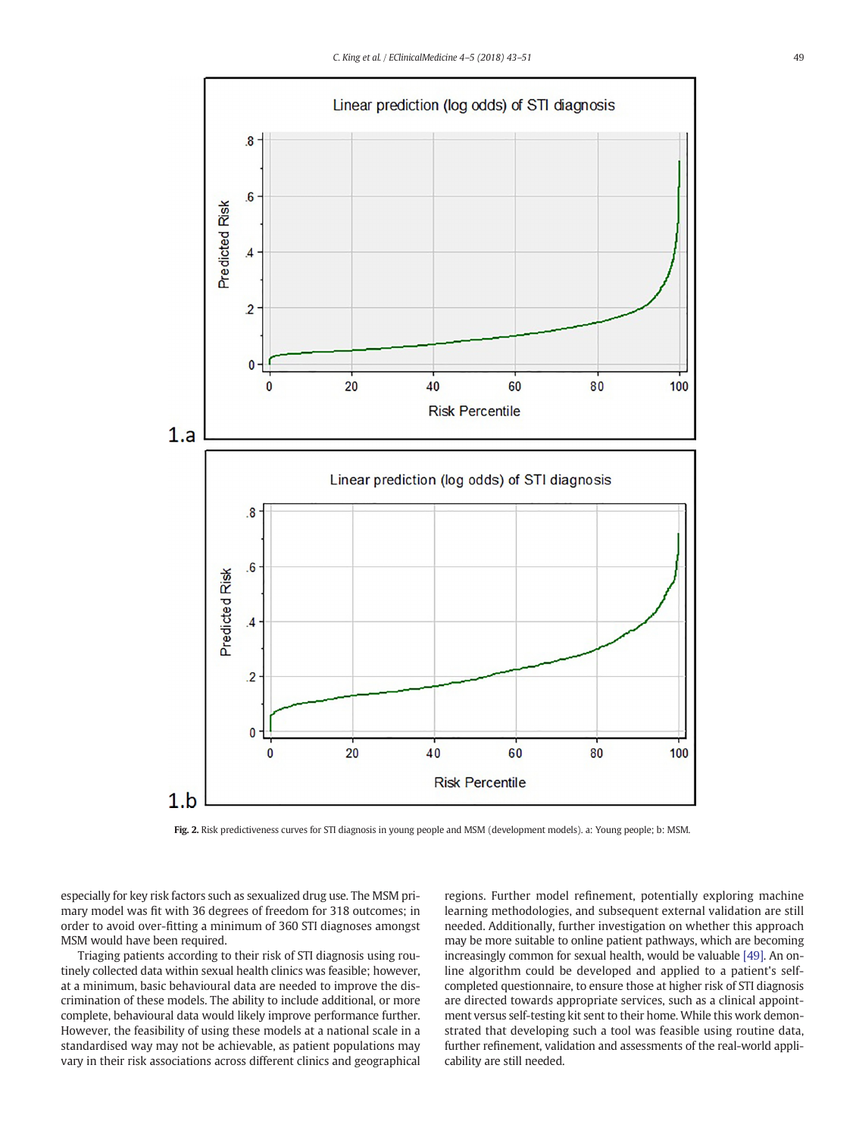<span id="page-6-0"></span>

Fig. 2. Risk predictiveness curves for STI diagnosis in young people and MSM (development models). a: Young people; b: MSM.

especially for key risk factors such as sexualized drug use. The MSM primary model was fit with 36 degrees of freedom for 318 outcomes; in order to avoid over-fitting a minimum of 360 STI diagnoses amongst MSM would have been required.

Triaging patients according to their risk of STI diagnosis using routinely collected data within sexual health clinics was feasible; however, at a minimum, basic behavioural data are needed to improve the discrimination of these models. The ability to include additional, or more complete, behavioural data would likely improve performance further. However, the feasibility of using these models at a national scale in a standardised way may not be achievable, as patient populations may vary in their risk associations across different clinics and geographical regions. Further model refinement, potentially exploring machine learning methodologies, and subsequent external validation are still needed. Additionally, further investigation on whether this approach may be more suitable to online patient pathways, which are becoming increasingly common for sexual health, would be valuable [\[49\]](#page-8-0). An online algorithm could be developed and applied to a patient's selfcompleted questionnaire, to ensure those at higher risk of STI diagnosis are directed towards appropriate services, such as a clinical appointment versus self-testing kit sent to their home. While this work demonstrated that developing such a tool was feasible using routine data, further refinement, validation and assessments of the real-world applicability are still needed.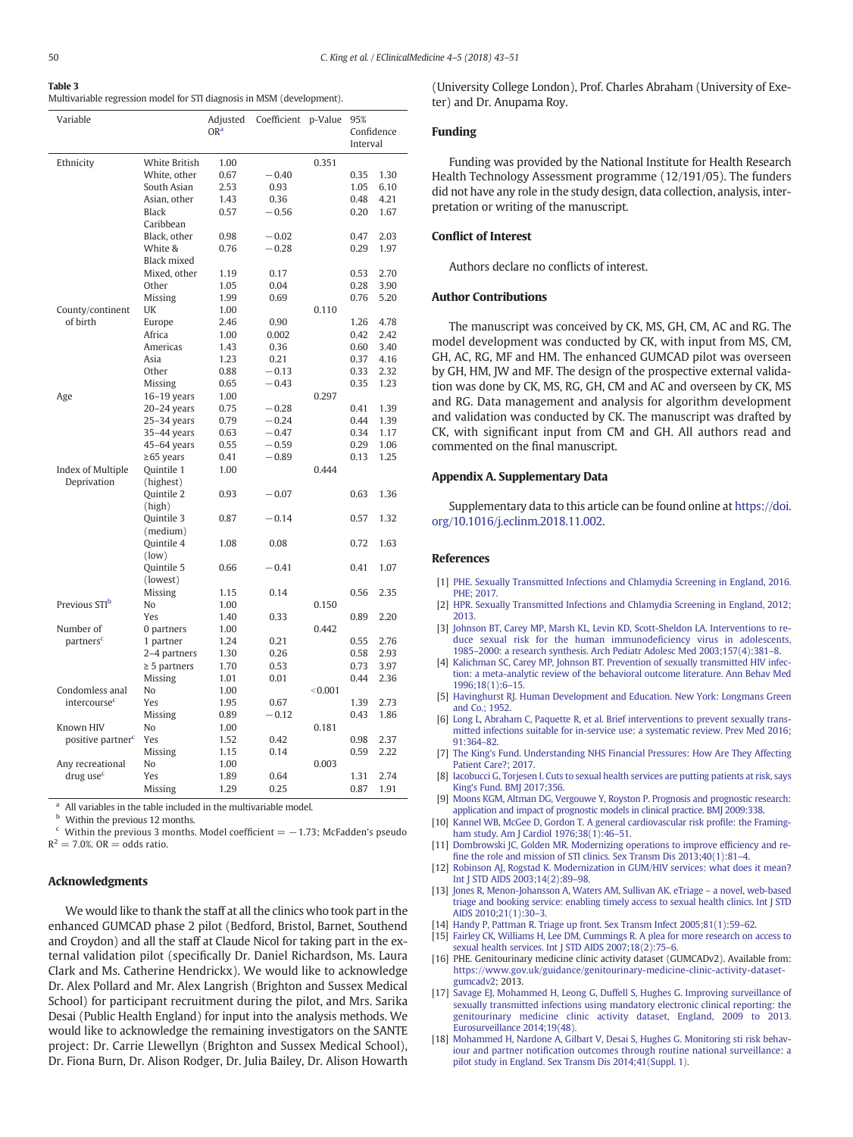<span id="page-7-0"></span>

| Table 3                                                                |
|------------------------------------------------------------------------|
| Multivariable regression model for STI diagnosis in MSM (development). |

| Variable                      |                   | Adjusted<br>OR <sup>a</sup> | Coefficient | p-Value | 95%      |            |  |
|-------------------------------|-------------------|-----------------------------|-------------|---------|----------|------------|--|
|                               |                   |                             |             |         |          | Confidence |  |
|                               |                   |                             |             |         | Interval |            |  |
| Ethnicity                     | White British     | 1.00                        |             | 0.351   |          |            |  |
|                               | White, other      | 0.67                        | $-0.40$     |         | 0.35     | 1.30       |  |
|                               | South Asian       | 2.53                        | 0.93        |         | 1.05     | 6.10       |  |
|                               | Asian, other      | 1.43                        | 0.36        |         | 0.48     | 4.21       |  |
|                               | Black             | 0.57                        | $-0.56$     |         | 0.20     | 1.67       |  |
|                               | Caribbean         |                             |             |         |          |            |  |
|                               | Black, other      | 0.98                        | $-0.02$     |         | 0.47     | 2.03       |  |
|                               | White &           |                             |             |         | 0.29     |            |  |
|                               | Black mixed       | 0.76                        | $-0.28$     |         |          | 1.97       |  |
|                               | Mixed, other      |                             |             |         |          | 2.70       |  |
|                               |                   | 1.19                        | 0.17        |         | 0.53     |            |  |
|                               | Other             | 1.05                        | 0.04        |         | 0.28     | 3.90       |  |
|                               | Missing           | 1.99                        | 0.69        |         | 0.76     | 5.20       |  |
| County/continent              | UK                | 1.00                        |             | 0.110   |          |            |  |
| of birth                      | Europe            | 2.46                        | 0.90        |         | 1.26     | 4.78       |  |
|                               | Africa            | 1.00                        | 0.002       |         | 0.42     | 2.42       |  |
|                               | Americas          | 1.43                        | 0.36        |         | 0.60     | 3.40       |  |
|                               | Asia              | 1.23                        | 0.21        |         | 0.37     | 4.16       |  |
|                               | Other             | 0.88                        | $-0.13$     |         | 0.33     | 2.32       |  |
|                               | Missing           | 0.65                        | $-0.43$     |         | 0.35     | 1.23       |  |
| Age                           | $16-19$ years     | 1.00                        |             | 0.297   |          |            |  |
|                               | $20-24$ years     | 0.75                        | $-0.28$     |         | 0.41     | 1.39       |  |
|                               | $25-34$ years     | 0.79                        | $-0.24$     |         | 0.44     | 1.39       |  |
|                               | 35-44 years       | 0.63                        | $-0.47$     |         | 0.34     | 1.17       |  |
|                               | 45-64 years       | 0.55                        | $-0.59$     |         | 0.29     | 1.06       |  |
|                               | $\geq$ 65 years   | 0.41                        | $-0.89$     |         | 0.13     | 1.25       |  |
| Index of Multiple             | Quintile 1        | 1.00                        |             | 0.444   |          |            |  |
| Deprivation                   | (highest)         |                             |             |         |          |            |  |
|                               | Quintile 2        | 0.93                        | $-0.07$     |         | 0.63     | 1.36       |  |
|                               | (high)            |                             |             |         |          |            |  |
|                               | Quintile 3        | 0.87                        | $-0.14$     |         | 0.57     | 1.32       |  |
|                               | (medium)          |                             |             |         |          |            |  |
|                               | Quintile 4        | 1.08                        | 0.08        |         | 0.72     | 1.63       |  |
|                               | (low)             |                             |             |         |          |            |  |
|                               | Quintile 5        | 0.66                        | $-0.41$     |         | 0.41     | 1.07       |  |
|                               | (lowest)          |                             |             |         |          |            |  |
|                               | Missing           | 1.15                        | 0.14        |         | 0.56     | 2.35       |  |
| Previous STI <sup>b</sup>     | No                | 1.00                        |             | 0.150   |          |            |  |
|                               | Yes               | 1.40                        | 0.33        |         | 0.89     | 2.20       |  |
| Number of                     | 0 partners        | 1.00                        |             | 0.442   |          |            |  |
| partners <sup>c</sup>         | 1 partner         | 1.24                        | 0.21        |         | 0.55     | 2.76       |  |
|                               | 2-4 partners      | 1.30                        | 0.26        |         | 0.58     | 2.93       |  |
|                               | $\geq$ 5 partners | 1.70                        | 0.53        |         | 0.73     | 3.97       |  |
|                               | Missing           | 1.01                        | 0.01        |         | 0.44     | 2.36       |  |
| Condomless anal               | No                | 1.00                        |             | < 0.001 |          |            |  |
| intercourse <sup>c</sup>      | Yes               | 1.95                        | 0.67        |         | 1.39     | 2.73       |  |
|                               | Missing           | 0.89                        | $-0.12$     |         | 0.43     | 1.86       |  |
| Known HIV                     | No                | 1.00                        |             | 0.181   |          |            |  |
| positive partner <sup>c</sup> | Yes               | 1.52                        | 0.42        |         | 0.98     | 2.37       |  |
|                               | Missing           | 1.15                        | 0.14        |         | 0.59     | 2.22       |  |
| Any recreational              | No                | 1.00                        |             | 0.003   |          |            |  |
| drug use <sup>c</sup>         | Yes               | 1.89                        | 0.64        |         | 1.31     | 2.74       |  |
|                               |                   |                             |             |         |          | 1.91       |  |
|                               | Missing           | 1.29                        | 0.25        |         | 0.87     |            |  |

<sup>a</sup> All variables in the table included in the multivariable model.

<sup>b</sup> Within the previous 12 months.

 $\epsilon$  Within the previous 3 months. Model coefficient =  $-1.73$ ; McFadden's pseudo

 $R^2 = 7.0\%$ . OR = odds ratio.

#### Acknowledgments

We would like to thank the staff at all the clinics who took part in the enhanced GUMCAD phase 2 pilot (Bedford, Bristol, Barnet, Southend and Croydon) and all the staff at Claude Nicol for taking part in the external validation pilot (specifically Dr. Daniel Richardson, Ms. Laura Clark and Ms. Catherine Hendrickx). We would like to acknowledge Dr. Alex Pollard and Mr. Alex Langrish (Brighton and Sussex Medical School) for participant recruitment during the pilot, and Mrs. Sarika Desai (Public Health England) for input into the analysis methods. We would like to acknowledge the remaining investigators on the SANTE project: Dr. Carrie Llewellyn (Brighton and Sussex Medical School), Dr. Fiona Burn, Dr. Alison Rodger, Dr. Julia Bailey, Dr. Alison Howarth (University College London), Prof. Charles Abraham (University of Exeter) and Dr. Anupama Roy.

# Funding

Funding was provided by the National Institute for Health Research Health Technology Assessment programme (12/191/05). The funders did not have any role in the study design, data collection, analysis, interpretation or writing of the manuscript.

#### Conflict of Interest

Authors declare no conflicts of interest.

# Author Contributions

The manuscript was conceived by CK, MS, GH, CM, AC and RG. The model development was conducted by CK, with input from MS, CM, GH, AC, RG, MF and HM. The enhanced GUMCAD pilot was overseen by GH, HM, JW and MF. The design of the prospective external validation was done by CK, MS, RG, GH, CM and AC and overseen by CK, MS and RG. Data management and analysis for algorithm development and validation was conducted by CK. The manuscript was drafted by CK, with significant input from CM and GH. All authors read and commented on the final manuscript.

#### Appendix A. Supplementary Data

Supplementary data to this article can be found online at [https://doi.](https://doi.org/10.1016/j.eclinm.2018.11.002) [org/10.1016/j.eclinm.2018.11.002.](https://doi.org/10.1016/j.eclinm.2018.11.002)

# References

- [1] [PHE. Sexually Transmitted Infections and Chlamydia Screening in England, 2016.](http://refhub.elsevier.com/S2589-5370(18)30046-4/rf0005) [PHE; 2017.](http://refhub.elsevier.com/S2589-5370(18)30046-4/rf0005)
- [2] [HPR. Sexually Transmitted Infections and Chlamydia Screening in England, 2012;](http://refhub.elsevier.com/S2589-5370(18)30046-4/rf0010) [2013.](http://refhub.elsevier.com/S2589-5370(18)30046-4/rf0010)
- [3] [Johnson BT, Carey MP, Marsh KL, Levin KD, Scott-Sheldon LA. Interventions to re](http://refhub.elsevier.com/S2589-5370(18)30046-4/rf0015)[duce sexual risk for the human immunode](http://refhub.elsevier.com/S2589-5370(18)30046-4/rf0015)ficiency virus in adolescents, 1985–[2000: a research synthesis. Arch Pediatr Adolesc Med 2003;157\(4\):381](http://refhub.elsevier.com/S2589-5370(18)30046-4/rf0015)–8.
- [4] [Kalichman SC, Carey MP, Johnson BT. Prevention of sexually transmitted HIV infec](http://refhub.elsevier.com/S2589-5370(18)30046-4/rf0020)[tion: a meta-analytic review of the behavioral outcome literature. Ann Behav Med](http://refhub.elsevier.com/S2589-5370(18)30046-4/rf0020) [1996;18\(1\):6](http://refhub.elsevier.com/S2589-5370(18)30046-4/rf0020)–15.
- [5] [Havinghurst RJ. Human Development and Education. New York: Longmans Green](http://refhub.elsevier.com/S2589-5370(18)30046-4/rf0025) [and Co.; 1952.](http://refhub.elsevier.com/S2589-5370(18)30046-4/rf0025)
- [6] [Long L, Abraham C, Paquette R, et al. Brief interventions to prevent sexually trans](http://refhub.elsevier.com/S2589-5370(18)30046-4/rf0030)[mitted infections suitable for in-service use: a systematic review. Prev Med 2016;](http://refhub.elsevier.com/S2589-5370(18)30046-4/rf0030) [91:364](http://refhub.elsevier.com/S2589-5370(18)30046-4/rf0030)–82.
- [7] [The King's Fund. Understanding NHS Financial Pressures: How Are They Affecting](http://refhub.elsevier.com/S2589-5370(18)30046-4/rf0035) [Patient Care?; 2017.](http://refhub.elsevier.com/S2589-5370(18)30046-4/rf0035)
- [8] [Iacobucci G, Torjesen I. Cuts to sexual health services are putting patients at risk, says](http://refhub.elsevier.com/S2589-5370(18)30046-4/rf0040) [King's Fund. BMJ 2017;356.](http://refhub.elsevier.com/S2589-5370(18)30046-4/rf0040)
- [9] [Moons KGM, Altman DG, Vergouwe Y, Royston P. Prognosis and prognostic research:](http://refhub.elsevier.com/S2589-5370(18)30046-4/rf0045) [application and impact of prognostic models in clinical practice. BMJ 2009:338.](http://refhub.elsevier.com/S2589-5370(18)30046-4/rf0045)
- [10] [Kannel WB, McGee D, Gordon T. A general cardiovascular risk pro](http://refhub.elsevier.com/S2589-5370(18)30046-4/rf0050)file: the Framing[ham study. Am J Cardiol 1976;38\(1\):46](http://refhub.elsevier.com/S2589-5370(18)30046-4/rf0050)-51.
- [11] [Dombrowski JC, Golden MR. Modernizing operations to improve ef](http://refhub.elsevier.com/S2589-5370(18)30046-4/rf0055)ficiency and refi[ne the role and mission of STI clinics. Sex Transm Dis 2013;40\(1\):81](http://refhub.elsevier.com/S2589-5370(18)30046-4/rf0055)–4.
- [12] [Robinson AJ, Rogstad K. Modernization in GUM/HIV services: what does it mean?](http://refhub.elsevier.com/S2589-5370(18)30046-4/rf0060) [Int J STD AIDS 2003;14\(2\):89](http://refhub.elsevier.com/S2589-5370(18)30046-4/rf0060)–98.
- [13] [Jones R, Menon-Johansson A, Waters AM, Sullivan AK. eTriage](http://refhub.elsevier.com/S2589-5370(18)30046-4/rf0065) a novel, web-based [triage and booking service: enabling timely access to sexual health clinics. Int J STD](http://refhub.elsevier.com/S2589-5370(18)30046-4/rf0065) [AIDS 2010;21\(1\):30](http://refhub.elsevier.com/S2589-5370(18)30046-4/rf0065)–3.
- [14] [Handy P, Pattman R. Triage up front. Sex Transm Infect 2005;81\(1\):59](http://refhub.elsevier.com/S2589-5370(18)30046-4/rf0070)–62.
- [Fairley CK, Williams H, Lee DM, Cummings R. A plea for more research on access to](http://refhub.elsevier.com/S2589-5370(18)30046-4/rf0075) [sexual health services. Int J STD AIDS 2007;18\(2\):75](http://refhub.elsevier.com/S2589-5370(18)30046-4/rf0075)-6.
- [16] PHE. Genitourinary medicine clinic activity dataset (GUMCADv2). Available from: [https://www.gov.uk/guidance/genitourinary-medicine-clinic-activity-dataset](https://www.gov.uk/guidance/genitourinary-medicine-clinic-activity-dataset-gumcadv2)[gumcadv2;](https://www.gov.uk/guidance/genitourinary-medicine-clinic-activity-dataset-gumcadv2) 2013.
- [17] [Savage EJ, Mohammed H, Leong G, Duffell S, Hughes G. Improving surveillance of](http://refhub.elsevier.com/S2589-5370(18)30046-4/rf0085) [sexually transmitted infections using mandatory electronic clinical reporting: the](http://refhub.elsevier.com/S2589-5370(18)30046-4/rf0085) [genitourinary medicine clinic activity dataset, England, 2009 to 2013.](http://refhub.elsevier.com/S2589-5370(18)30046-4/rf0085) [Eurosurveillance 2014;19\(48\).](http://refhub.elsevier.com/S2589-5370(18)30046-4/rf0085)
- [18] [Mohammed H, Nardone A, Gilbart V, Desai S, Hughes G. Monitoring sti risk behav](http://refhub.elsevier.com/S2589-5370(18)30046-4/rf0090)iour and partner notifi[cation outcomes through routine national surveillance: a](http://refhub.elsevier.com/S2589-5370(18)30046-4/rf0090) [pilot study in England. Sex Transm Dis 2014;41\(Suppl. 1\).](http://refhub.elsevier.com/S2589-5370(18)30046-4/rf0090)